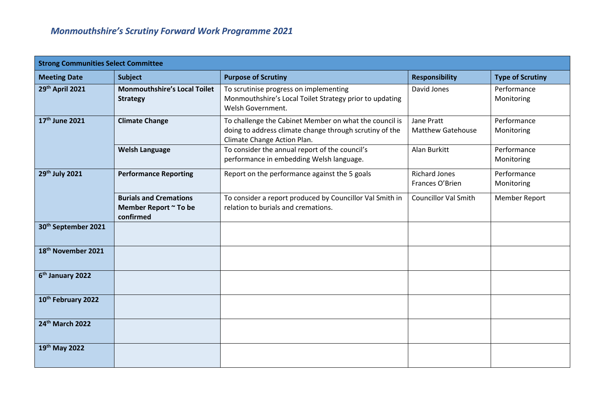| <b>Strong Communities Select Committee</b> |                                                                     |                                                                                                                                                  |                                         |                           |
|--------------------------------------------|---------------------------------------------------------------------|--------------------------------------------------------------------------------------------------------------------------------------------------|-----------------------------------------|---------------------------|
| <b>Meeting Date</b>                        | <b>Subject</b>                                                      | <b>Purpose of Scrutiny</b>                                                                                                                       | <b>Responsibility</b>                   | <b>Type of Scrutiny</b>   |
| 29th April 2021                            | <b>Monmouthshire's Local Toilet</b><br><b>Strategy</b>              | To scrutinise progress on implementing<br>Monmouthshire's Local Toilet Strategy prior to updating<br>Welsh Government.                           | David Jones                             | Performance<br>Monitoring |
| 17th June 2021                             | <b>Climate Change</b>                                               | To challenge the Cabinet Member on what the council is<br>doing to address climate change through scrutiny of the<br>Climate Change Action Plan. | Jane Pratt<br><b>Matthew Gatehouse</b>  | Performance<br>Monitoring |
|                                            | <b>Welsh Language</b>                                               | To consider the annual report of the council's<br>performance in embedding Welsh language.                                                       | Alan Burkitt                            | Performance<br>Monitoring |
| 29th July 2021                             | <b>Performance Reporting</b>                                        | Report on the performance against the 5 goals                                                                                                    | <b>Richard Jones</b><br>Frances O'Brien | Performance<br>Monitoring |
|                                            | <b>Burials and Cremations</b><br>Member Report ~ To be<br>confirmed | To consider a report produced by Councillor Val Smith in<br>relation to burials and cremations.                                                  | <b>Councillor Val Smith</b>             | Member Report             |
| 30 <sup>th</sup> September 2021            |                                                                     |                                                                                                                                                  |                                         |                           |
| 18th November 2021                         |                                                                     |                                                                                                                                                  |                                         |                           |
| 6 <sup>th</sup> January 2022               |                                                                     |                                                                                                                                                  |                                         |                           |
| 10th February 2022                         |                                                                     |                                                                                                                                                  |                                         |                           |
| 24 <sup>th</sup> March 2022                |                                                                     |                                                                                                                                                  |                                         |                           |
| 19th May 2022                              |                                                                     |                                                                                                                                                  |                                         |                           |